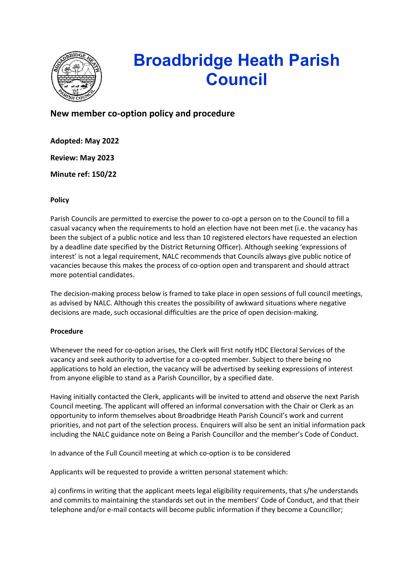

## **Broadbridge Heath Parish Council**

**New member co-option policy and procedure** 

**Adopted: May 2022**

**Review: May 2023**

**Minute ref: 150/22**

## **Policy**

Parish Councils are permitted to exercise the power to co-opt a person on to the Council to fill a casual vacancy when the requirements to hold an election have not been met (i.e. the vacancy has been the subject of a public notice and less than 10 registered electors have requested an election by a deadline date specified by the District Returning Officer). Although seeking 'expressions of interest' is not a legal requirement, NALC recommends that Councils always give public notice of vacancies because this makes the process of co-option open and transparent and should attract more potential candidates.

The decision-making process below is framed to take place in open sessions of full council meetings, as advised by NALC. Although this creates the possibility of awkward situations where negative decisions are made, such occasional difficulties are the price of open decision-making.

## **Procedure**

Whenever the need for co-option arises, the Clerk will first notify HDC Electoral Services of the vacancy and seek authority to advertise for a co-opted member. Subject to there being no applications to hold an election, the vacancy will be advertised by seeking expressions of interest from anyone eligible to stand as a Parish Councillor, by a specified date.

Having initially contacted the Clerk, applicants will be invited to attend and observe the next Parish Council meeting. The applicant will offered an informal conversation with the Chair or Clerk as an opportunity to inform themselves about Broadbridge Heath Parish Council's work and current priorities, and not part of the selection process. Enquirers will also be sent an initial information pack including the NALC guidance note on Being a Parish Councillor and the member's Code of Conduct.

In advance of the Full Council meeting at which co-option is to be considered

Applicants will be requested to provide a written personal statement which:

a) confirms in writing that the applicant meets legal eligibility requirements, that s/he understands and commits to maintaining the standards set out in the members' Code of Conduct, and that their telephone and/or e-mail contacts will become public information if they become a Councillor;